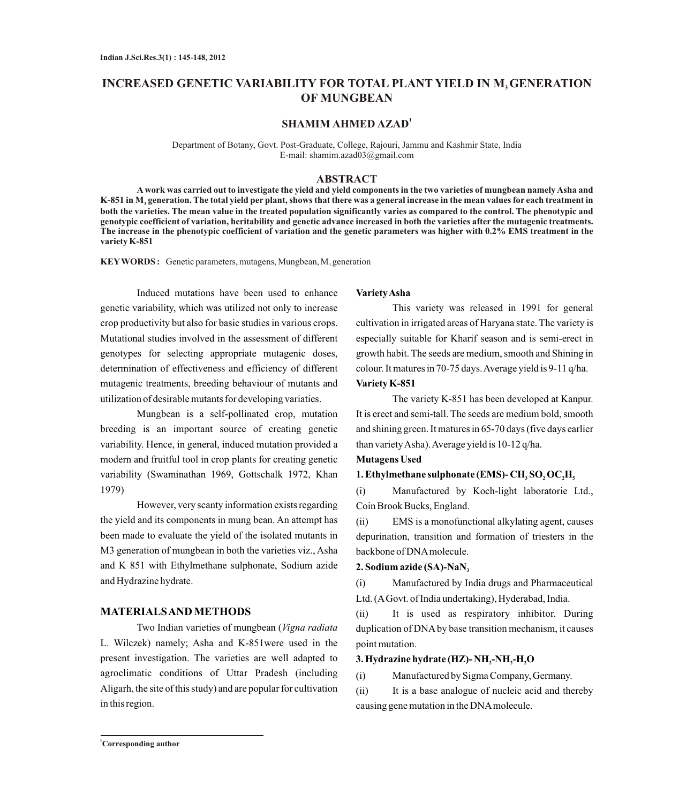# **INCREASED GENETIC VARIABILITY FOR TOTAL PLANT YIELD IN M, GENERATION OF MUNGBEAN**

## **1 SHAMIM AHMED AZAD**

Department of Botany, Govt. Post-Graduate, College, Rajouri, Jammu and Kashmir State, India E-mail: shamim.azad03@gmail.com

## **ABSTRACT**

**Awork was carried out to investigate the yield and yield components in the two varieties of mungbean namely Asha and K-851 in M generation. The total yield per plant, shows that there was a general increase in the mean values for each treatment in <sup>3</sup> both the varieties. The mean value in the treated population significantly varies as compared to the control. The phenotypic and genotypic coefficient of variation, heritability and genetic advance increased in both the varieties after the mutagenic treatments. The increase in the phenotypic coefficient of variation and the genetic parameters was higher with 0.2% EMS treatment in the variety K-851**

**KEYWORDS :** Genetic parameters, mutagens, Mungbean, M<sub>3</sub> generation

Induced mutations have been used to enhance genetic variability, which was utilized not only to increase crop productivity but also for basic studies in various crops. Mutational studies involved in the assessment of different genotypes for selecting appropriate mutagenic doses, determination of effectiveness and efficiency of different mutagenic treatments, breeding behaviour of mutants and utilization of desirable mutants for developing variaties.

Mungbean is a self-pollinated crop, mutation breeding is an important source of creating genetic variability. Hence, in general, induced mutation provided a modern and fruitful tool in crop plants for creating genetic variability (Swaminathan 1969, Gottschalk 1972, Khan 1979)

However, very scanty information exists regarding the yield and its components in mung bean. An attempt has been made to evaluate the yield of the isolated mutants in M3 generation of mungbean in both the varieties viz., Asha and K 851 with Ethylmethane sulphonate, Sodium azide and Hydrazine hydrate.

## **MATERIALS AND METHODS**

Two Indian varieties of mungbean (*Vigna radiata* L. Wilczek) namely; Asha and K-851were used in the present investigation. The varieties are well adapted to agroclimatic conditions of Uttar Pradesh (including Aligarh, the site of this study) and are popular for cultivation in this region.

## **Variety Asha**

This variety was released in 1991 for general cultivation in irrigated areas of Haryana state. The variety is especially suitable for Kharif season and is semi-erect in growth habit. The seeds are medium, smooth and Shining in colour. It matures in 70-75 days. Average yield is 9-11 q/ha. **Variety K-851**

The variety K-851 has been developed at Kanpur. It is erect and semi-tall. The seeds are medium bold, smooth and shining green. It matures in 65-70 days (five days earlier than variety Asha). Average yield is 10-12 q/ha.

#### **Mutagens Used**

## **1. Ethylmethane sulphonate (EMS)- CH3SO2OC2H<sup>5</sup>**

(i) Manufactured by Koch-light laboratorie Ltd., Coin Brook Bucks, England.

(ii) EMS is a monofunctional alkylating agent, causes depurination, transition and formation of triesters in the backbone of DNAmolecule.

#### **2. Sodium azide (SA)-NaN<sup>3</sup>**

(i) Manufactured by India drugs and Pharmaceutical Ltd. (AGovt. of India undertaking), Hyderabad, India.

(ii) It is used as respiratory inhibitor. During duplication of DNAby base transition mechanism, it causes point mutation.

## **3. Hydrazine hydrate (HZ)- NH<sup>2</sup> -NH<sup>2</sup> -H2O**

(i) Manufactured by Sigma Company, Germany.

(ii) It is a base analogue of nucleic acid and thereby causing gene mutation in the DNAmolecule.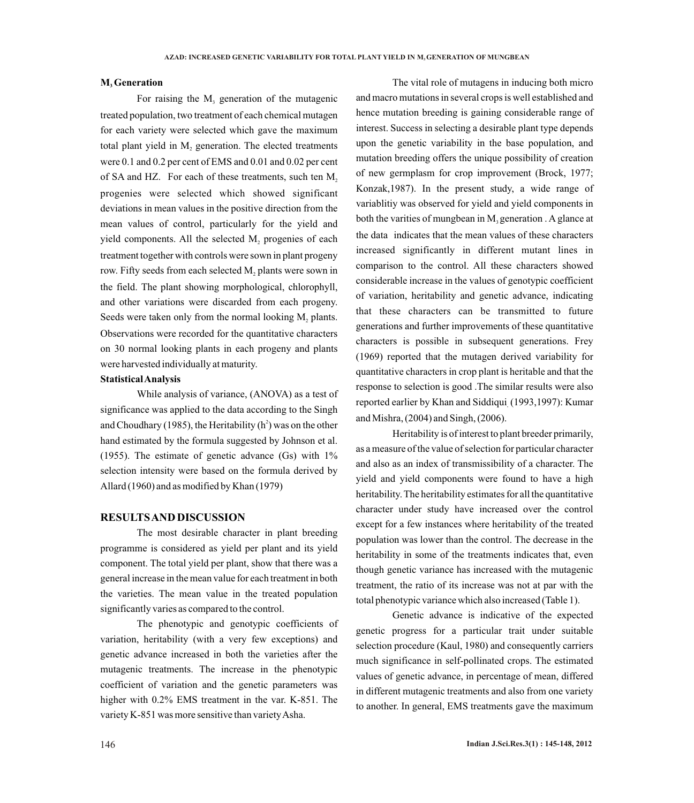#### **M Generation <sup>3</sup>**

For raising the  $M<sub>3</sub>$  generation of the mutagenic treated population, two treatment of each chemical mutagen for each variety were selected which gave the maximum total plant yield in  $M<sub>2</sub>$  generation. The elected treatments were 0.1 and 0.2 per cent of EMS and 0.01 and 0.02 per cent of SA and HZ. For each of these treatments, such ten  $M<sub>2</sub>$ progenies were selected which showed significant deviations in mean values in the positive direction from the mean values of control, particularly for the yield and yield components. All the selected  $M<sub>2</sub>$  progenies of each treatment together with controls were sown in plant progeny row. Fifty seeds from each selected M, plants were sown in the field. The plant showing morphological, chlorophyll, and other variations were discarded from each progeny. Seeds were taken only from the normal looking  $M_2$  plants. Observations were recorded for the quantitative characters on 30 normal looking plants in each progeny and plants were harvested individually at maturity.

#### **Statistical Analysis**

While analysis of variance, (ANOVA) as a test of significance was applied to the data according to the Singh and Choudhary (1985), the Heritability  $(h^2)$  was on the other hand estimated by the formula suggested by Johnson et al. (1955). The estimate of genetic advance (Gs) with 1% selection intensity were based on the formula derived by Allard (1960) and as modified by Khan (1979)

## **RESULTS AND DISCUSSION**

The most desirable character in plant breeding programme is considered as yield per plant and its yield component. The total yield per plant, show that there was a general increase in the mean value for each treatment in both the varieties. The mean value in the treated population significantly varies as compared to the control.

The phenotypic and genotypic coefficients of variation, heritability (with a very few exceptions) and genetic advance increased in both the varieties after the mutagenic treatments. The increase in the phenotypic coefficient of variation and the genetic parameters was higher with 0.2% EMS treatment in the var. K-851. The variety K-851 was more sensitive than variety Asha.

The vital role of mutagens in inducing both micro and macro mutations in several crops is well established and hence mutation breeding is gaining considerable range of interest. Success in selecting a desirable plant type depends upon the genetic variability in the base population, and mutation breeding offers the unique possibility of creation of new germplasm for crop improvement (Brock, 1977; Konzak,1987). In the present study, a wide range of variablitiy was observed for yield and yield components in both the varities of mungbean in  $M<sub>3</sub>$  generation. A glance at the data indicates that the mean values of these characters increased significantly in different mutant lines in comparison to the control. All these characters showed considerable increase in the values of genotypic coefficient of variation, heritability and genetic advance, indicating that these characters can be transmitted to future generations and further improvements of these quantitative characters is possible in subsequent generations. Frey (1969) reported that the mutagen derived variability for quantitative characters in crop plant is heritable and that the response to selection is good .The similar results were also reported earlier by Khan and Siddiqui (1993,1997): Kumar and Mishra, (2004) and Singh, (2006).

Heritability is of interest to plant breeder primarily, as a measure of the value of selection for particular character and also as an index of transmissibility of a character. The yield and yield components were found to have a high heritability. The heritability estimates for all the quantitative character under study have increased over the control except for a few instances where heritability of the treated population was lower than the control. The decrease in the heritability in some of the treatments indicates that, even though genetic variance has increased with the mutagenic treatment, the ratio of its increase was not at par with the total phenotypic variance which also increased (Table 1).

Genetic advance is indicative of the expected genetic progress for a particular trait under suitable selection procedure (Kaul, 1980) and consequently carriers much significance in self-pollinated crops. The estimated values of genetic advance, in percentage of mean, differed in different mutagenic treatments and also from one variety to another. In general, EMS treatments gave the maximum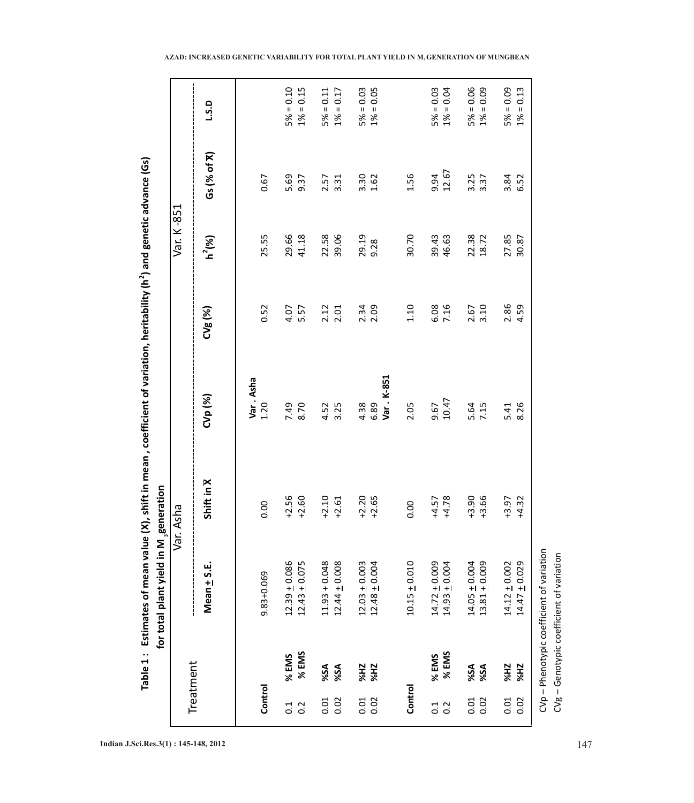|                         |                          | Table 1: Estimates of mean value<br>for total plant yield in M | generation         | (X), shift in mean, coefficient of variation, heritability (h <sup>2</sup> ) and genetic advance (Gs) |              |                |               |                                                                                                                                                                                                                                                                                                                                                                                                                      |
|-------------------------|--------------------------|----------------------------------------------------------------|--------------------|-------------------------------------------------------------------------------------------------------|--------------|----------------|---------------|----------------------------------------------------------------------------------------------------------------------------------------------------------------------------------------------------------------------------------------------------------------------------------------------------------------------------------------------------------------------------------------------------------------------|
|                         | Treatment                |                                                                | Var. Asha          |                                                                                                       |              | Var. K-851     |               |                                                                                                                                                                                                                                                                                                                                                                                                                      |
|                         |                          | $Mean + S.E.$                                                  | Shift in X         | CVp (%)                                                                                               | CVg(%)       | $h^2(%)$       | Gs (% of X)   | L.S.D                                                                                                                                                                                                                                                                                                                                                                                                                |
| Control                 |                          | 9.83+0.069                                                     | 0.00               | Var. Asha<br>1.20                                                                                     | 0.52         | 25.55          | 0.67          |                                                                                                                                                                                                                                                                                                                                                                                                                      |
| $\overline{0}$ :<br>0.2 | % EMS<br>% EMS           | $12.39 + 0.086$<br>$12.43 \pm 0.075$                           | $+2.56$<br>$+2.60$ | 8.70<br>7.49                                                                                          | 5.57<br>4.07 | 29.66<br>41.18 | 5.69<br>9.37  | $5% = 0.10$<br>$1% = 0.15$                                                                                                                                                                                                                                                                                                                                                                                           |
| 0.02<br>0.01            | %SA<br>%SA               | $11.93 + 0.048$<br>$12.44 \pm 0.008$                           | $+2.10$<br>$+2.61$ | 3.25<br>4.52                                                                                          | 2.12<br>2.01 | 22.58<br>39.06 | 2.57<br>3.31  | $= 0.17$<br>$5% = 0.11$<br>1%                                                                                                                                                                                                                                                                                                                                                                                        |
| 0.01<br>0.02            | <b>ZH%</b><br><b>ZH%</b> | $12.03 \pm 0.003$<br>$12.48 \pm 0.004$                         | $+2.20$<br>$+2.65$ | Var. K-851<br>4.38<br>6.89                                                                            | 2.34<br>2.09 | 29.19<br>9.28  | 3.30<br>1.62  | $5\% = 0.03$<br>$1\% = 0.05$                                                                                                                                                                                                                                                                                                                                                                                         |
| Control                 |                          | $10.15 + 0.010$                                                | 0.00               | 2.05                                                                                                  | 1.10         | 30.70          | 1.56          |                                                                                                                                                                                                                                                                                                                                                                                                                      |
| $\frac{1}{0.2}$         | % EMS<br>% EMS           | $14.72 \pm 0.009$<br>$14.93 \pm 0.004$                         | $+4.57$<br>$+4.78$ | 10.47<br>9.67                                                                                         | 6.08<br>7.16 | 39.43<br>46.63 | 9.94<br>12.67 | $5% = 0.03$<br>$= 0.04$<br>1%                                                                                                                                                                                                                                                                                                                                                                                        |
| 0.02<br>0.01            | %SA<br>%SA               | $13.81 \pm 0.009$<br>$14.05 \pm 0.004$                         | $+3.90$<br>$+3.66$ | 5.64<br>7.15                                                                                          | 2.67<br>3.10 | 22.38<br>18.72 | 3.25<br>3.37  | $5% = 0.06$<br>0.09<br>$\mathbf{H}% =\mathbf{H}(\mathbf{Q}^{T}\mathbf{Q}^{T}\mathbf{Q}^{T}\mathbf{Q}^{T}% )\mathbf{Q}^{T} \mathbf{Q}^{T} \mathbf{Q}^{T} \mathbf{Q}^{T} \mathbf{Q}^{T} \mathbf{Q}^{T} \mathbf{Q}^{T} \mathbf{Q}^{T} \mathbf{Q}^{T} \mathbf{Q}^{T} \mathbf{Q}^{T} \mathbf{Q}^{T} \mathbf{Q}^{T} \mathbf{Q}^{T} \mathbf{Q}^{T} \mathbf{Q}^{T} \mathbf{Q}^{T} \mathbf{Q}^{T} \mathbf{Q}^{T} \math$<br>1% |
| 0.02<br>0.01            | <b>ZH%</b><br><b>ZH%</b> | $14.47 + 0.029$<br>$14.12 \pm 0.002$                           | $+3.97$<br>$+4.32$ | 8.26<br>5.41                                                                                          | 2.86<br>4.59 | 27.85<br>30.87 | 3.84<br>6.52  | 0.13<br>$5% = 0.09$<br>$\ensuremath{\mathsf{II}}$<br>1%                                                                                                                                                                                                                                                                                                                                                              |
|                         |                          | CVp - Phenotypic coefficient of variation                      |                    |                                                                                                       |              |                |               |                                                                                                                                                                                                                                                                                                                                                                                                                      |

**Indian J.Sci.Res.3(1) : 145-148, 2012** 147

CVg –

Vp – Phenotypic coefficient of variation Genotypic coefficient of variation